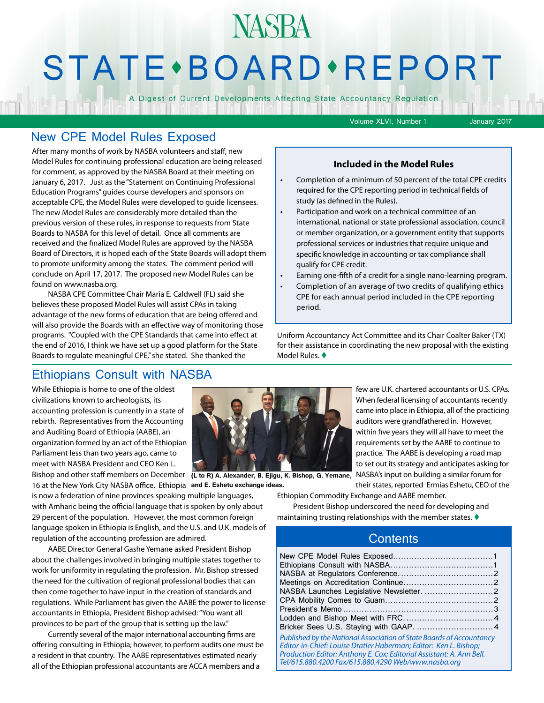## **STATE** · BOARD · REPORT

**NASBA** 

A Digest of Current Developments Affecting State Accountancy Regulation

Volume XLVI, Number 1 January 2017

#### New CPE Model Rules Exposed

After many months of work by NASBA volunteers and staff, new Model Rules for continuing professional education are being released for comment, as approved by the NASBA Board at their meeting on January 6, 2017. Just as the "Statement on Continuing Professional Education Programs" guides course developers and sponsors on acceptable CPE, the Model Rules were developed to guide licensees. The new Model Rules are considerably more detailed than the previous version of these rules, in response to requests from State Boards to NASBA for this level of detail. Once all comments are received and the finalized Model Rules are approved by the NASBA Board of Directors, it is hoped each of the State Boards will adopt them to promote uniformity among the states. The comment period will conclude on April 17, 2017. The proposed new Model Rules can be found on www.nasba.org.

NASBA CPE Committee Chair Maria E. Caldwell (FL) said she believes these proposed Model Rules will assist CPAs in taking advantage of the new forms of education that are being offered and will also provide the Boards with an effective way of monitoring those programs. "Coupled with the CPE Standards that came into effect at the end of 2016, I think we have set up a good platform for the State Boards to regulate meaningful CPE," she stated. She thanked the

#### **Included in the Model Rules**

- Completion of a minimum of 50 percent of the total CPE credits required for the CPE reporting period in technical fields of study (as defined in the Rules).
- Participation and work on a technical committee of an international, national or state professional association, council or member organization, or a government entity that supports professional services or industries that require unique and specific knowledge in accounting or tax compliance shall qualify for CPE credit.
- Earning one-fifth of a credit for a single nano-learning program.
- Completion of an average of two credits of qualifying ethics CPE for each annual period included in the CPE reporting period.

Uniform Accountancy Act Committee and its Chair Coalter Baker (TX) for their assistance in coordinating the new proposal with the existing Model Rules.  $\blacklozenge$ 

#### Ethiopians Consult with NASBA

While Ethiopia is home to one of the oldest civilizations known to archeologists, its accounting profession is currently in a state of rebirth. Representatives from the Accounting and Auditing Board of Ethiopia (AABE), an organization formed by an act of the Ethiopian Parliament less than two years ago, came to meet with NASBA President and CEO Ken L.

16 at the New York City NASBA office. Ethiopia **and E. Eshetu exchange ideas.**is now a federation of nine provinces speaking multiple languages, with Amharic being the official language that is spoken by only about 29 percent of the population. However, the most common foreign language spoken in Ethiopia is English, and the U.S. and U.K. models of regulation of the accounting profession are admired.

AABE Director General Gashe Yemane asked President Bishop about the challenges involved in bringing multiple states together to work for uniformity in regulating the profession. Mr. Bishop stressed the need for the cultivation of regional professional bodies that can then come together to have input in the creation of standards and regulations. While Parliament has given the AABE the power to license accountants in Ethiopia, President Bishop advised: "You want all provinces to be part of the group that is setting up the law."

Currently several of the major international accounting firms are offering consulting in Ethiopia; however, to perform audits one must be a resident in that country. The AABE representatives estimated nearly all of the Ethiopian professional accountants are ACCA members and a



Bishop and other staff members on December **(L to R) A. Alexander, B. Ejigu, K. Bishop, G. Yemane,** 

few are U.K. chartered accountants or U.S. CPAs. When federal licensing of accountants recently came into place in Ethiopia, all of the practicing auditors were grandfathered in. However, within five years they will all have to meet the requirements set by the AABE to continue to practice. The AABE is developing a road map to set out its strategy and anticipates asking for NASBA's input on building a similar forum for their states, reported Ermias Eshetu, CEO of the

Ethiopian Commodity Exchange and AABE member. President Bishop underscored the need for developing and maintaining trusting relationships with the member states.  $\blacklozenge$ 

#### **Contents**

| Published by the National Association of State Boards of Accountancy<br>Editor-in-Chief: Louise Dratler Haberman; Editor: Ken L. Bishop;<br>Production Editor: Anthony E. Cox; Editorial Assistant: A. Ann Bell.<br>Tel/615.880.4200 Fax/615.880.4290 Web/www.nasba.org |
|-------------------------------------------------------------------------------------------------------------------------------------------------------------------------------------------------------------------------------------------------------------------------|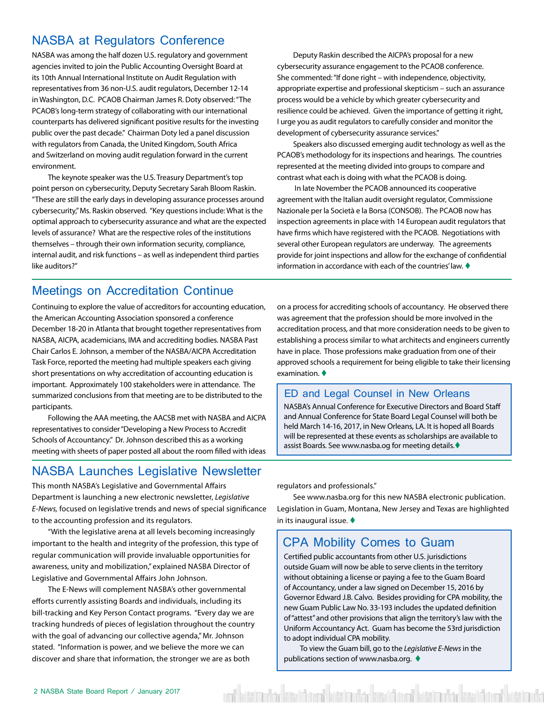### <span id="page-1-0"></span>NASBA at Regulators Conference

NASBA was among the half dozen U.S. regulatory and government agencies invited to join the Public Accounting Oversight Board at its 10th Annual International Institute on Audit Regulation with representatives from 36 non-U.S. audit regulators, December 12-14 in Washington, D.C. PCAOB Chairman James R. Doty observed: "The PCAOB's long-term strategy of collaborating with our international counterparts has delivered significant positive results for the investing public over the past decade." Chairman Doty led a panel discussion with regulators from Canada, the United Kingdom, South Africa and Switzerland on moving audit regulation forward in the current environment.

The keynote speaker was the U.S. Treasury Department's top point person on cybersecurity, Deputy Secretary Sarah Bloom Raskin. "These are still the early days in developing assurance processes around cybersecurity," Ms. Raskin observed. "Key questions include: What is the optimal approach to cybersecurity assurance and what are the expected levels of assurance? What are the respective roles of the institutions themselves – through their own information security, compliance, internal audit, and risk functions – as well as independent third parties like auditors?"

Deputy Raskin described the AICPA's proposal for a new cybersecurity assurance engagement to the PCAOB conference. She commented: "If done right – with independence, objectivity, appropriate expertise and professional skepticism – such an assurance process would be a vehicle by which greater cybersecurity and resilience could be achieved. Given the importance of getting it right, I urge you as audit regulators to carefully consider and monitor the development of cybersecurity assurance services."

Speakers also discussed emerging audit technology as well as the PCAOB's methodology for its inspections and hearings. The countries represented at the meeting divided into groups to compare and contrast what each is doing with what the PCAOB is doing.

 In late November the PCAOB announced its cooperative agreement with the Italian audit oversight regulator, Commissione Nazionale per la Società e la Borsa (CONSOB). The PCAOB now has inspection agreements in place with 14 European audit regulators that have firms which have registered with the PCAOB. Negotiations with several other European regulators are underway. The agreements provide for joint inspections and allow for the exchange of confidential information in accordance with each of the countries' law.  $\blacklozenge$ 

#### Meetings on Accreditation Continue

Continuing to explore the value of accreditors for accounting education, the American Accounting Association sponsored a conference December 18-20 in Atlanta that brought together representatives from NASBA, AICPA, academicians, IMA and accrediting bodies. NASBA Past Chair Carlos E. Johnson, a member of the NASBA/AICPA Accreditation Task Force, reported the meeting had multiple speakers each giving short presentations on why accreditation of accounting education is important. Approximately 100 stakeholders were in attendance. The summarized conclusions from that meeting are to be distributed to the participants.

Following the AAA meeting, the AACSB met with NASBA and AICPA representatives to consider "Developing a New Process to Accredit Schools of Accountancy." Dr. Johnson described this as a working meeting with sheets of paper posted all about the room filled with ideas

#### NASBA Launches Legislative Newsletter

This month NASBA's Legislative and Governmental Affairs Department is launching a new electronic newsletter, *Legislative E-News,* focused on legislative trends and news of special significance to the accounting profession and its regulators.

"With the legislative arena at all levels becoming increasingly important to the health and integrity of the profession, this type of regular communication will provide invaluable opportunities for awareness, unity and mobilization," explained NASBA Director of Legislative and Governmental Affairs John Johnson.

The E-News will complement NASBA's other governmental efforts currently assisting Boards and individuals, including its bill-tracking and Key Person Contact programs. "Every day we are tracking hundreds of pieces of legislation throughout the country with the goal of advancing our collective agenda," Mr. Johnson stated. "Information is power, and we believe the more we can discover and share that information, the stronger we are as both

on a process for accrediting schools of accountancy. He observed there was agreement that the profession should be more involved in the accreditation process, and that more consideration needs to be given to establishing a process similar to what architects and engineers currently have in place. Those professions make graduation from one of their approved schools a requirement for being eligible to take their licensing examination. $\bullet$ 

#### ED and Legal Counsel in New Orleans

NASBA's Annual Conference for Executive Directors and Board Staff and Annual Conference for State Board Legal Counsel will both be held March 14-16, 2017, in New Orleans, LA. It is hoped all Boards will be represented at these events as scholarships are available to assist Boards. See www.nasba.og for meeting details.<sup>+</sup>

regulators and professionals."

See www.nasba.org for this new NASBA electronic publication. Legislation in Guam, Montana, New Jersey and Texas are highlighted in its inaugural issue.  $\blacklozenge$ 

#### CPA Mobility Comes to Guam

Certified public accountants from other U.S. jurisdictions outside Guam will now be able to serve clients in the territory without obtaining a license or paying a fee to the Guam Board of Accountancy, under a law signed on December 15, 2016 by Governor Edward J.B. Calvo. Besides providing for CPA mobility, the new Guam Public Law No. 33-193 includes the updated definition of "attest" and other provisions that align the territory's law with the Uniform Accountancy Act. Guam has become the 53rd jurisdiction to adopt individual CPA mobility.

To view the Guam bill, go to the *Legislative E-News* in the publications section of www.nasba.org.  $\blacklozenge$ 

vad böttira við reistöð varð böttiraðar kinsið övað böttiraðar kinsið annað böttiraða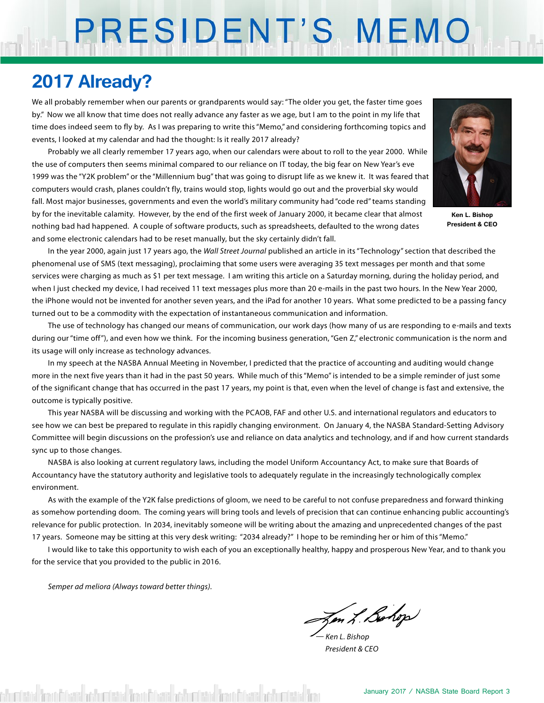# PRESIDENT'S MEMO

### **2017 Already?**

We all probably remember when our parents or grandparents would say: "The older you get, the faster time goes by." Now we all know that time does not really advance any faster as we age, but I am to the point in my life that time does indeed seem to fly by. As I was preparing to write this "Memo," and considering forthcoming topics and events, I looked at my calendar and had the thought: Is it really 2017 already?

Probably we all clearly remember 17 years ago, when our calendars were about to roll to the year 2000. While the use of computers then seems minimal compared to our reliance on IT today, the big fear on New Year's eve 1999 was the "Y2K problem" or the "Millennium bug" that was going to disrupt life as we knew it. It was feared that computers would crash, planes couldn't fly, trains would stop, lights would go out and the proverbial sky would fall. Most major businesses, governments and even the world's military community had "code red" teams standing by for the inevitable calamity. However, by the end of the first week of January 2000, it became clear that almost nothing bad had happened. A couple of software products, such as spreadsheets, defaulted to the wrong dates and some electronic calendars had to be reset manually, but the sky certainly didn't fall.



**Ken L. Bishop President & CEO**

In the year 2000, again just 17 years ago, the *Wall Street Journal* published an article in its "Technology" section that described the phenomenal use of SMS (text messaging), proclaiming that some users were averaging 35 text messages per month and that some services were charging as much as \$1 per text message. I am writing this article on a Saturday morning, during the holiday period, and when I just checked my device, I had received 11 text messages plus more than 20 e-mails in the past two hours. In the New Year 2000, the iPhone would not be invented for another seven years, and the iPad for another 10 years. What some predicted to be a passing fancy turned out to be a commodity with the expectation of instantaneous communication and information.

The use of technology has changed our means of communication, our work days (how many of us are responding to e-mails and texts during our "time off"), and even how we think. For the incoming business generation, "Gen Z," electronic communication is the norm and its usage will only increase as technology advances.

In my speech at the NASBA Annual Meeting in November, I predicted that the practice of accounting and auditing would change more in the next five years than it had in the past 50 years. While much of this "Memo" is intended to be a simple reminder of just some of the significant change that has occurred in the past 17 years, my point is that, even when the level of change is fast and extensive, the outcome is typically positive.

This year NASBA will be discussing and working with the PCAOB, FAF and other U.S. and international regulators and educators to see how we can best be prepared to regulate in this rapidly changing environment. On January 4, the NASBA Standard-Setting Advisory Committee will begin discussions on the profession's use and reliance on data analytics and technology, and if and how current standards sync up to those changes.

NASBA is also looking at current regulatory laws, including the model Uniform Accountancy Act, to make sure that Boards of Accountancy have the statutory authority and legislative tools to adequately regulate in the increasingly technologically complex environment.

As with the example of the Y2K false predictions of gloom, we need to be careful to not confuse preparedness and forward thinking as somehow portending doom. The coming years will bring tools and levels of precision that can continue enhancing public accounting's relevance for public protection. In 2034, inevitably someone will be writing about the amazing and unprecedented changes of the past 17 years. Someone may be sitting at this very desk writing: "2034 already?" I hope to be reminding her or him of this "Memo."

I would like to take this opportunity to wish each of you an exceptionally healthy, happy and prosperous New Year, and to thank you for the service that you provided to the public in 2016.

*Semper ad meliora (Always toward better things).*

en L. Bohop

*— Ken L. Bishop President & CEO*

detail from Edward at humbara from Edward at humbara from Edward at humbara for